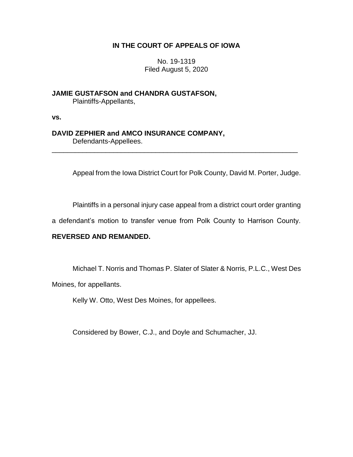## **IN THE COURT OF APPEALS OF IOWA**

No. 19-1319 Filed August 5, 2020

**JAMIE GUSTAFSON and CHANDRA GUSTAFSON,** Plaintiffs-Appellants,

**vs.**

# **DAVID ZEPHIER and AMCO INSURANCE COMPANY,**

Defendants-Appellees.

Appeal from the Iowa District Court for Polk County, David M. Porter, Judge.

Plaintiffs in a personal injury case appeal from a district court order granting

a defendant's motion to transfer venue from Polk County to Harrison County.

\_\_\_\_\_\_\_\_\_\_\_\_\_\_\_\_\_\_\_\_\_\_\_\_\_\_\_\_\_\_\_\_\_\_\_\_\_\_\_\_\_\_\_\_\_\_\_\_\_\_\_\_\_\_\_\_\_\_\_\_\_\_\_\_

## **REVERSED AND REMANDED.**

Michael T. Norris and Thomas P. Slater of Slater & Norris, P.L.C., West Des

Moines, for appellants.

Kelly W. Otto, West Des Moines, for appellees.

Considered by Bower, C.J., and Doyle and Schumacher, JJ.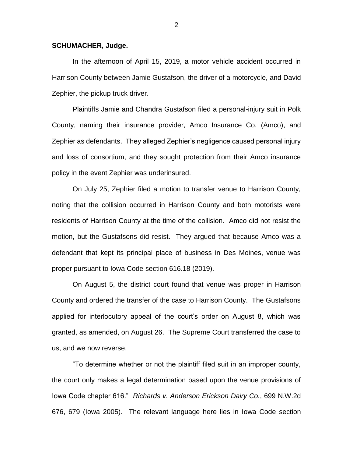#### **SCHUMACHER, Judge.**

In the afternoon of April 15, 2019, a motor vehicle accident occurred in Harrison County between Jamie Gustafson, the driver of a motorcycle, and David Zephier, the pickup truck driver.

Plaintiffs Jamie and Chandra Gustafson filed a personal-injury suit in Polk County, naming their insurance provider, Amco Insurance Co. (Amco), and Zephier as defendants. They alleged Zephier's negligence caused personal injury and loss of consortium, and they sought protection from their Amco insurance policy in the event Zephier was underinsured.

On July 25, Zephier filed a motion to transfer venue to Harrison County, noting that the collision occurred in Harrison County and both motorists were residents of Harrison County at the time of the collision. Amco did not resist the motion, but the Gustafsons did resist. They argued that because Amco was a defendant that kept its principal place of business in Des Moines, venue was proper pursuant to Iowa Code section 616.18 (2019).

On August 5, the district court found that venue was proper in Harrison County and ordered the transfer of the case to Harrison County. The Gustafsons applied for interlocutory appeal of the court's order on August 8, which was granted, as amended, on August 26. The Supreme Court transferred the case to us, and we now reverse.

"To determine whether or not the plaintiff filed suit in an improper county, the court only makes a legal determination based upon the venue provisions of Iowa Code chapter 616." *Richards v. Anderson Erickson Dairy Co.*, 699 N.W.2d 676, 679 (Iowa 2005). The relevant language here lies in Iowa Code section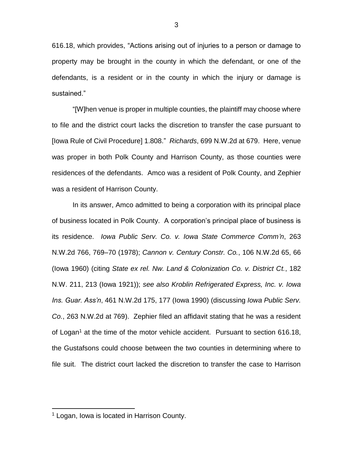616.18, which provides, "Actions arising out of injuries to a person or damage to property may be brought in the county in which the defendant, or one of the defendants, is a resident or in the county in which the injury or damage is sustained."

"[W]hen venue is proper in multiple counties, the plaintiff may choose where to file and the district court lacks the discretion to transfer the case pursuant to [Iowa Rule of Civil Procedure] 1.808." *Richards*, 699 N.W.2d at 679. Here, venue was proper in both Polk County and Harrison County, as those counties were residences of the defendants. Amco was a resident of Polk County, and Zephier was a resident of Harrison County.

In its answer, Amco admitted to being a corporation with its principal place of business located in Polk County. A corporation's principal place of business is its residence. *Iowa Public Serv. Co. v. Iowa State Commerce Comm'n*, 263 N.W.2d 766, 769–70 (1978); *Cannon v. Century Constr. Co.*, 106 N.W.2d 65, 66 (Iowa 1960) (citing *State ex rel. Nw. Land & Colonization Co. v. District Ct.*, 182 N.W. 211, 213 (Iowa 1921)); *see also Kroblin Refrigerated Express, Inc. v. Iowa Ins. Guar. Ass'n*, 461 N.W.2d 175, 177 (Iowa 1990) (discussing *Iowa Public Serv. Co.*, 263 N.W.2d at 769). Zephier filed an affidavit stating that he was a resident of Logan<sup>1</sup> at the time of the motor vehicle accident. Pursuant to section 616.18, the Gustafsons could choose between the two counties in determining where to file suit. The district court lacked the discretion to transfer the case to Harrison

 $\overline{a}$ 

<sup>1</sup> Logan, Iowa is located in Harrison County.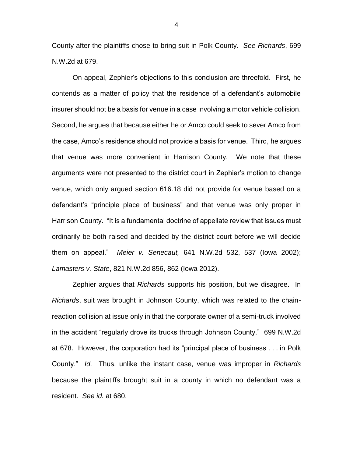County after the plaintiffs chose to bring suit in Polk County. *See Richards*, 699 N.W.2d at 679.

On appeal, Zephier's objections to this conclusion are threefold. First, he contends as a matter of policy that the residence of a defendant's automobile insurer should not be a basis for venue in a case involving a motor vehicle collision. Second, he argues that because either he or Amco could seek to sever Amco from the case, Amco's residence should not provide a basis for venue. Third, he argues that venue was more convenient in Harrison County. We note that these arguments were not presented to the district court in Zephier's motion to change venue, which only argued section 616.18 did not provide for venue based on a defendant's "principle place of business" and that venue was only proper in Harrison County. "It is a fundamental doctrine of appellate review that issues must ordinarily be both raised and decided by the district court before we will decide them on appeal." *Meier v. Senecaut,* 641 N.W.2d 532, 537 (Iowa 2002); *Lamasters v. State*, 821 N.W.2d 856, 862 (Iowa 2012).

Zephier argues that *Richards* supports his position, but we disagree. In *Richards*, suit was brought in Johnson County, which was related to the chainreaction collision at issue only in that the corporate owner of a semi-truck involved in the accident "regularly drove its trucks through Johnson County." 699 N.W.2d at 678. However, the corporation had its "principal place of business . . . in Polk County." *Id.* Thus, unlike the instant case, venue was improper in *Richards*  because the plaintiffs brought suit in a county in which no defendant was a resident. *See id.* at 680.